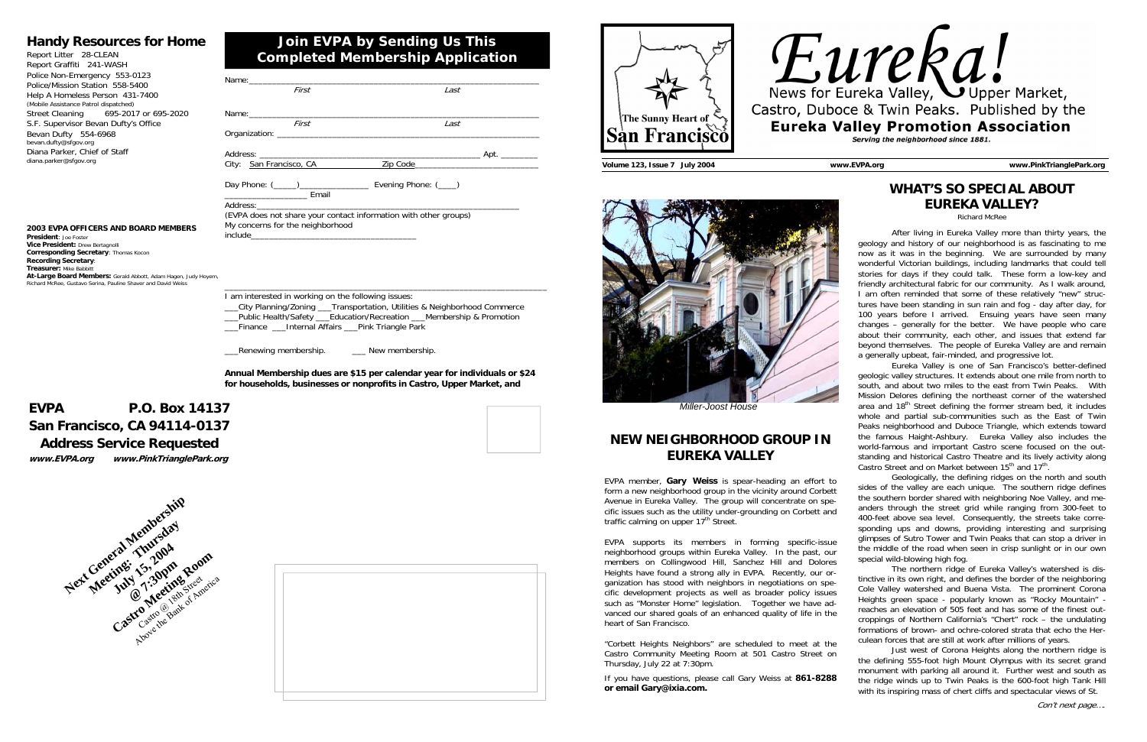| First                                                                                                                                                                                                                          | Last |  |
|--------------------------------------------------------------------------------------------------------------------------------------------------------------------------------------------------------------------------------|------|--|
|                                                                                                                                                                                                                                |      |  |
|                                                                                                                                                                                                                                |      |  |
| First                                                                                                                                                                                                                          | Last |  |
|                                                                                                                                                                                                                                |      |  |
|                                                                                                                                                                                                                                |      |  |
| City: San Francisco, CA                                                                                                                                                                                                        |      |  |
| Email<br><u> 1990 - Johann Barn, mars et al.</u>                                                                                                                                                                               |      |  |
|                                                                                                                                                                                                                                |      |  |
| (EVPA does not share your contact information with other groups)                                                                                                                                                               |      |  |
| My concerns for the neighborhood                                                                                                                                                                                               |      |  |
| include the contract of the contract of the contract of the contract of the contract of the contract of the contract of the contract of the contract of the contract of the contract of the contract of the contract of the co |      |  |
|                                                                                                                                                                                                                                |      |  |
|                                                                                                                                                                                                                                |      |  |
|                                                                                                                                                                                                                                |      |  |

\_\_\_\_\_\_\_\_\_\_\_\_\_\_\_\_\_\_\_\_\_\_\_\_\_\_\_\_\_\_\_\_\_\_\_\_\_\_\_\_\_\_\_\_\_\_\_\_\_\_\_\_\_\_\_\_\_\_\_\_\_\_\_\_\_\_\_\_\_\_

Lenewing membership. The Mew membership

I am interested in working on the following issues:

\_\_\_City Planning/Zoning \_\_\_Transportation, Utilities & Neighborhood Commerce \_\_\_Public Health/Safety \_\_\_Education/Recreation \_\_\_Membership & Promotion \_\_\_Finance \_\_\_Internal Affairs \_\_\_Pink Triangle Park

**Annual Membership dues are \$15 per calendar year for individuals or \$24 for households, businesses or nonprofits in Castro, Upper Market, and** 

## **Join EVPA by Sending Us This Completed Membership Application**

### **Handy Resources for Home**

| Report Litter 28-CLEAN                |  |  |  |  |
|---------------------------------------|--|--|--|--|
| Report Graffiti 241-WASH              |  |  |  |  |
| Police Non-Emergency 553-0123         |  |  |  |  |
| Police/Mission Station 558-5400       |  |  |  |  |
| Help A Homeless Person 431-7400       |  |  |  |  |
| (Mobile Assistance Patrol dispatched) |  |  |  |  |
| Street Cleaning 695-2017 or 695-2020  |  |  |  |  |
| S.F. Supervisor Bevan Dufty's Office  |  |  |  |  |
| Bevan Dufty 554-6968                  |  |  |  |  |
| bevan.dufty@sfgov.org                 |  |  |  |  |
| Diana Parker, Chief of Staff          |  |  |  |  |
| diana.parker@sfgov.org                |  |  |  |  |

 Eureka Valley is one of San Francisco's better-defined geologic valley structures. It extends about one mile from north to south, and about two miles to the east from Twin Peaks. With Mission Delores defining the northeast corner of the watershed area and  $18<sup>th</sup>$  Street defining the former stream bed, it includes whole and partial sub-communities such as the East of Twin Peaks neighborhood and Duboce Triangle, which extends toward the famous Haight-Ashbury. Eureka Valley also includes the world-famous and important Castro scene focused on the outstanding and historical Castro Theatre and its lively activity along Castro Street and on Market between 15<sup>th</sup> and 17<sup>th</sup>.

## **EVPA P.O. Box 14137 San Francisco, CA 94114-0137 Address Service Requested www.EVPA.org www.PinkTrianglePark.org**



#### **2003 EVPA OFFICERS AND BOARD MEMBERS**

**President**: Joe Foster **Vice President:** Drew Bertagnolli **Corresponding Secretary**: Thomas Kocon **Recording Secretary**: **Treasurer:** Mike Babbitt **At-Large Board Members:** Gerald Abbott, Adam Hagen, Judy Hoyem, Richard McRee, Gustavo Serina, Pauline Shaver and David Weiss





# **WHAT'S SO SPECIAL ABOUT EUREKA VALLEY?**

Richard McRee

EVPA member, **Gary Weiss** is spear-heading an effort to form a new neighborhood group in the vicinity around Corbett Avenue in Eureka Valley. The group will concentrate on specific issues such as the utility under-grounding on Corbett and traffic calming on upper 17<sup>th</sup> Street.

 After living in Eureka Valley more than thirty years, the geology and history of our neighborhood is as fascinating to me now as it was in the beginning. We are surrounded by many wonderful Victorian buildings, including landmarks that could tell stories for days if they could talk. These form a low-key and friendly architectural fabric for our community. As I walk around, I am often reminded that some of these relatively "new" structures have been standing in sun rain and fog - day after day, for 100 years before I arrived. Ensuing years have seen many changes – generally for the better. We have people who care about their community, each other, and issues that extend far beyond themselves. The people of Eureka Valley are and remain a generally upbeat, fair-minded, and progressive lot.

 Geologically, the defining ridges on the north and south sides of the valley are each unique. The southern ridge defines the southern border shared with neighboring Noe Valley, and meanders through the street grid while ranging from 300-feet to 400-feet above sea level. Consequently, the streets take corresponding ups and downs, providing interesting and surprising glimpses of Sutro Tower and Twin Peaks that can stop a driver in the middle of the road when seen in crisp sunlight or in our own special wild-blowing high fog.

 The northern ridge of Eureka Valley's watershed is distinctive in its own right, and defines the border of the neighboring Cole Valley watershed and Buena Vista. The prominent Corona Heights green space - popularly known as "Rocky Mountain" reaches an elevation of 505 feet and has some of the finest outcroppings of Northern California's "Chert" rock – the undulating formations of brown- and ochre-colored strata that echo the Herculean forces that are still at work after millions of years.

 Just west of Corona Heights along the northern ridge is the defining 555-foot high Mount Olympus with its secret grand monument with parking all around it. Further west and south as the ridge winds up to Twin Peaks is the 600-foot high Tank Hill with its inspiring mass of chert cliffs and spectacular views of St.



## **NEW NEIGHBORHOOD GROUP IN EUREKA VALLEY**

EVPA supports its members in forming specific-issue neighborhood groups within Eureka Valley. In the past, our members on Collingwood Hill, Sanchez Hill and Dolores Heights have found a strong ally in EVPA. Recently, our organization has stood with neighbors in negotiations on specific development projects as well as broader policy issues such as "Monster Home" legislation. Together we have advanced our shared goals of an enhanced quality of life in the heart of San Francisco.

"Corbett Heights Neighbors" are scheduled to meet at the Castro Community Meeting Room at 501 Castro Street on Thursday, July 22 at 7:30pm.

If you have questions, please call Gary Weiss at **861-8288 or email Gary@ixia.com.** 



*Miller-Joost House*